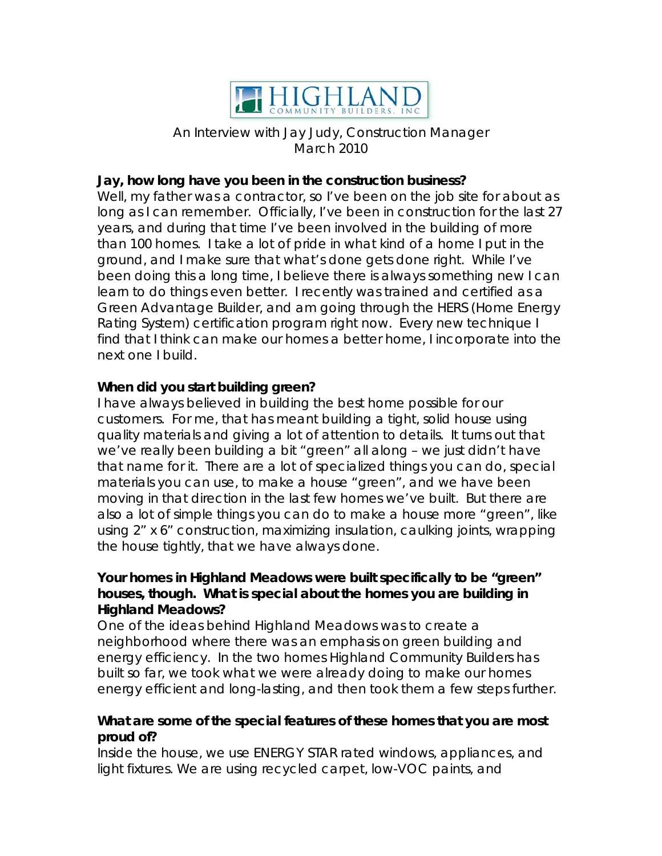

An Interview with Jay Judy, Construction Manager March 2010

## **Jay, how long have you been in the construction business?**

Well, my father was a contractor, so I've been on the job site for about as long as I can remember. Officially, I've been in construction for the last 27 years, and during that time I've been involved in the building of more than 100 homes. I take a lot of pride in what kind of a home I put in the ground, and I make sure that what's done gets done right. While I've been doing this a long time, I believe there is always something new I can learn to do things even better. I recently was trained and certified as a Green Advantage Builder, and am going through the HERS (Home Energy Rating System) certification program right now. Every new technique I find that I think can make our homes a better home, I incorporate into the next one I build.

## **When did you start building green?**

I have always believed in building the best home possible for our customers. For me, that has meant building a tight, solid house using quality materials and giving a lot of attention to details. It turns out that we've really been building a bit "green" all along – we just didn't have that name for it. There are a lot of specialized things you can do, special materials you can use, to make a house "green", and we have been moving in that direction in the last few homes we've built. But there are also a lot of simple things you can do to make a house more "green", like using 2" x 6" construction, maximizing insulation, caulking joints, wrapping the house tightly, that we have always done.

## **Your homes in Highland Meadows were built specifically to be "green" houses, though. What is special about the homes you are building in Highland Meadows?**

One of the ideas behind Highland Meadows was to create a neighborhood where there was an emphasis on green building and energy efficiency. In the two homes Highland Community Builders has built so far, we took what we were already doing to make our homes energy efficient and long-lasting, and then took them a few steps further.

# **What are some of the special features of these homes that you are most proud of?**

Inside the house, we use ENERGY STAR rated windows, appliances, and light fixtures. We are using recycled carpet, low-VOC paints, and